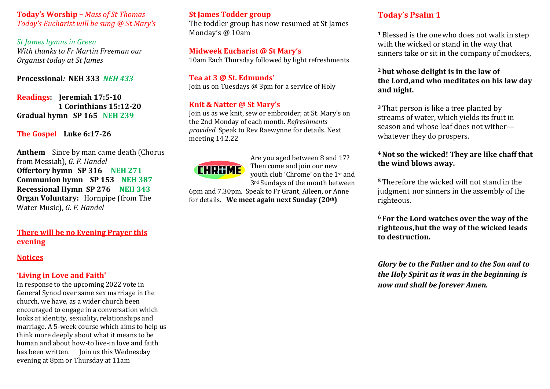**Today's Worship –** *Mass of St Thomas Today's Eucharist will be sung @ St Mary's* 

**St** James hymns in Green *With thanks to Fr Martin Freeman our Organist today at St James* 

**Processional***:* **NEH 333** *NEH 433*

**Readings:** Jeremiah 17:5-10 **1 Corinthians 15:12-20 Gradual hymn SP 165 NEH 239** 

**The Gospel** Luke 6:17-26

**Anthem** Since by man came death (Chorus from Messiah), *G. F. Handel* Offertory hymn SP 316 NEH 271 **CHRGME Communion hymn SP 153 NEH 387 Recessional Hymn SP 276 NEH 343 Organ Voluntary:** Hornpipe (from The Water Music), *G. F. Handel* 

**There will be no Evening Prayer this evening** 

#### **Notices**

#### 'Living in Love and Faith'

In response to the upcoming 2022 vote in General Synod over same sex marriage in the church, we have, as a wider church been encouraged to engage in a conversation which looks at identity, sexuality, relationships and marriage. A 5-week course which aims to help us think more deeply about what it means to be human and about how-to live-in love and faith has been written. Join us this Wednesday evening at 8pm or Thursday at 11am

### **St James Todder group**

The toddler group has now resumed at St James Monday's @ 10am

#### **Midweek Eucharist @ St Mary's**

10am Each Thursday followed by light refreshments

Tea at 3 @ St. Edmunds' Join us on Tuesdays  $\omega$  3pm for a service of Holy

### **Knit & Natter @ St Mary's**

Join us as we knit, sew or embroider; at St. Mary's on the 2nd Monday of each month. *Refreshments provided.* Speak to Rev Raewynne for details. Next meeting 14.2.22



Are you aged between 8 and 17? Then come and join our new youth club 'Chrome' on the 1st and 3<sup>rd</sup> Sundays of the month between

6pm and 7.30pm. Speak to Fr Grant, Aileen, or Anne for details. We meet again next Sunday (20th)

## **Today's Psalm 1**

<sup>1</sup> Blessed is the one who does not walk in step with the wicked or stand in the way that sinners take or sit in the company of mockers,

### <sup>2</sup> but whose delight is in the law of **the Lord,and who meditates on his law day and night.**

**3** That person is like a tree planted by streams of water, which vields its fruit in season and whose leaf does not witherwhatever they do prospers.

### <sup>4</sup> Not so the wicked! They are like chaff that the wind blows away.

<sup>5</sup> Therefore the wicked will not stand in the judgment nor sinners in the assembly of the righteous.

**<sup>6</sup> For the Lord watches over the way of the**  righteous, but the way of the wicked leads **to destruction.**

*Glory be to the Father and to the Son and to the Holy Spirit as it was in the beginning is now and shall be forever Amen.*